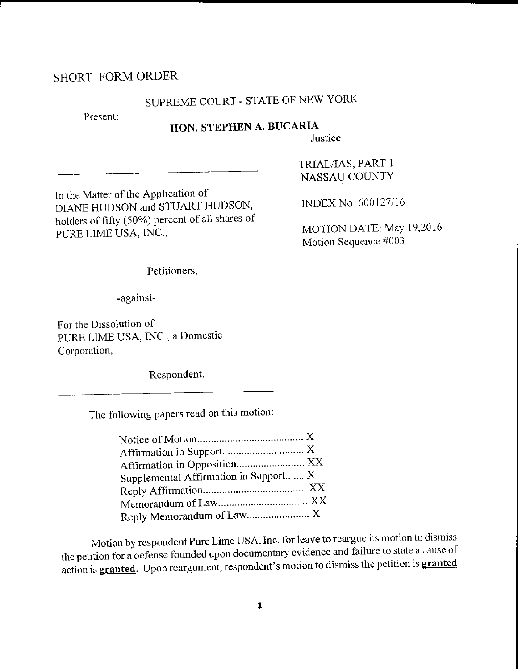## SHORT FORMORDER

# SUPREME COURT - STATE OF NEW YORK

Present:

## HON. STEPHEN A. BUCARIA

**Justice** 

In the Matter of the APPlication of DIANE HUDSON and STUART HUDSON, holders of fifty (50%) percent of all shares of PURE LIME USA, INC.,

TRIAL/IAS, PART I NASSAU COUNTY

INDEX No. 600127/16

MOTION DATE: MaY 19,2016 Motion Sequence #003

Petitioners,

-against-

For the Dissolution of PURE LIME USA, INC., a Domestic Corporation,

Respondent.

The following papers read on this rnotion:

| Supplemental Affirmation in Support X |  |
|---------------------------------------|--|
|                                       |  |
|                                       |  |
|                                       |  |

Motion by respondent Pure Lime USA, Inc. for leave to reargue its motion to dismiss the petition for a defense founded upon documentary evidence and failure to state a cause of action is **granted**. Upon reargument, respondent's motion to dismiss the petition is **granted**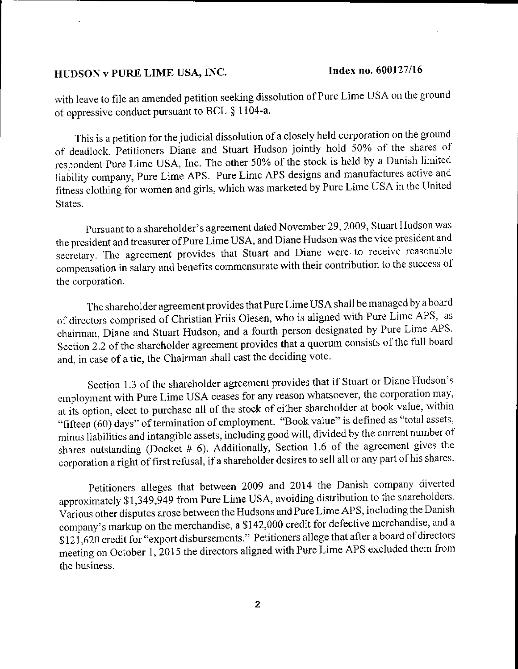with leave to file an amended petition seeking dissolution of Pure Lime USA on the ground of oppressive conduct pursuant to BCL \$ 1 104-a.

This is a petition for the judicial dissolution of a closely held corporation on the ground of deacllock. petitioners Diane and Stuart Hudson jointly hold 50% of the shares of respondent Pure Lirne USA, Inc. The other 50% of the stock is held by a Danish limited liability company, Pure Lime APS. Pure Lime APS designs and manufactures active and fitness clothing for women and girls, which was marketed by Pure Lime USA in the United States.

Pursuant to a sharcholder's agreement dated Novernber 29, 2009, Stuart Fludson was the president and treasurer of Pure Lime USA, and Diane Hudson was the vice president and secretary. The agreement provides that Stuart and Diane were to receive reasonable compensation in salary and benefits commensurate with their contribution to the success ol the corporation.

The shareholder agreement provides that Pure Lime USA shall be managed by a board of directors comprised of Christian Friis Olesen, who is aligned with Pure Lime APS, as chairman, Diane and Stuart Hudson, and a fourth person designated by Pure Lime APS. Section 2.2 of the shareholder agreement provides that a quorum consists of the full board and, in case of a tie, the Chairman shall cast the deciding vote.

Section 1.3 of the shareholder agreement provides that if Stuart or Diane Hudson's employment with Pure Lime USA ceases for any reason whatsoever, the corporation may, at its option, elect to purchase all of the stock of either shareholder at book value, within "fifteen (60) days" of termination of employment. "Book value" is defined as "total assets, minus liabilities and intangible assets, including good will, divided by the current number of shares outstanding (Docket # 6). Additionally, Section 1.6 of the agreement gives the corporation a right of first refusal, if a shareholder desires to sell all or any part of his shares.

Petitioners alleges that between 2009 and 2014 the Danish company diverted approximately \$1,349,949 from Pure Lime USA, avoiding distribution to the shareholders. Various other disputes arose between the Hudsons and Pure Lime APS, including the Danish company's markup on the merchandise, a \$142,000 credit for defective merchandise, and a \$121,620 credit for "export disbursements." Petitioners allege that after a board of directors meeting on October 1, 2015 the directors aligned with Pure Lime APS excluded them from the business.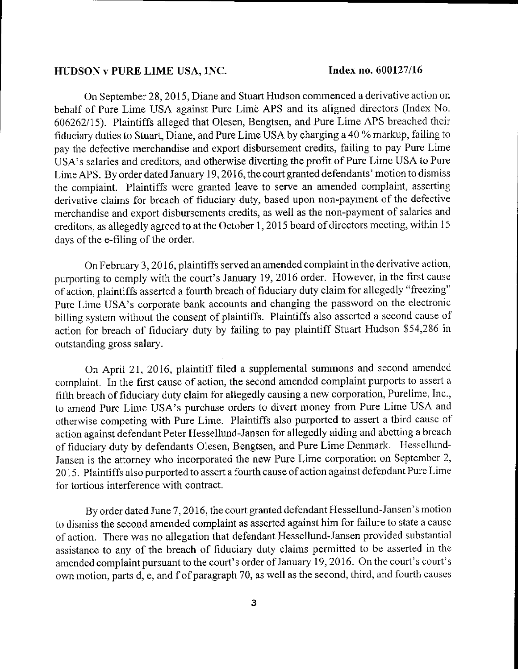On September 28, 2015, Diane and Stuart Hudson commenced a derivative action on behalf of Pure Lime USA against Pure Lime APS and its aligned directors (Index No. 606262115). Plaintiffs alleged that Olesen, Bengtsen, and Pure Lime APS breached their liduciary duties to Stuart, Diane, and Pure Lime USA by charging a 40 % markup, failing to pay the defective merchandise and export disbursernent credits, failing to pay Pure Lime USA's salaries and creditors, and otherwise diverting the profrt of Pure Lirne USA to Pure Lime APS. By order dated January 19, 2016, the court granted defendants' motion to dismiss the complaint. Plaintiffs were granted leave to serve an amended complaint, asserting derivative claims for breach of fiduciary duty, based upon non-payment of the defective merchandise and export disbursements credits, as well as the non-payment of salarics and creditors, as allegedly agreed to at the October 1, 2015 board of directors meeting, within 15 days of the e-filing of the order.

On February 3, 20 16, plaintifls served an amended complaint in the derivative action, purporting to comply with the court's January 19, 2016 order. However, in the first cause of action, plaintiffs asserted a fourth breach of fiduciary duty claim for allegedly "freezing" Pure Lime USA's corporate bank accounts and changing the password on the electronic billing system without the consent of plaintiffs. Plaintiffs also asserted a second cause of action for breach of fiduciary duty by failing to pay plaintiff Stuart Hudson \$54,286 in outstanding gross salary.

On April 2I, 2016, plaintiff filed a supplemental surnmons and second amendcd complaint. In the first cause of action, the second amended complaint purports to assert a fifth breach of fiduciary duty claim for allegedly causing a new corporation, Purelime, Inc., to amend Pure Lime USA's purchase orders to divert money from Pure Lime USA and otherwise competing with Pure Lime. Plaintiffs also purported to assert a third cause of action against defendant Peter Hessellund-Jansen for allegedly aiding and abetting a brcaoh of fiduciary duty by defendants Olesen, Bengtsen, and Pure I.ime Demnark. Ilessellund-Jansen is the attorney who incorporated the new Pure Lime corporation on September 2, 2015. Plaintiffs also purported to assert a fourth cause of action against defendant Pure Lime for tortious interference with contract.

By ordcr dated June 7,2016, the court granted defendant Flessellund-Jansen's motion to dismiss the second amended complaint as asserted against him for failure to state a cause of action. There was no allegation that defendant Hessellund-Jansen provided substantial assistance to any of the breach of fiduciary duty claims perrnitted to be asserted in thc amended complaint pursuant to the court's order of January 19, 2016. On the court's court's own motion, parts d, e, and f of paragraph 70, as well as the second, third, and fourth causes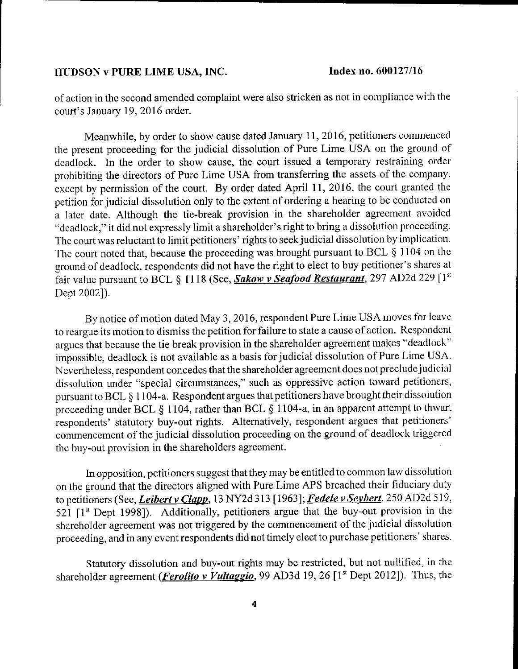of aotion in the second amended cornplaint were also stricken as not in cornpliance with the court's January 19, 2016 order.

Meanwhile, by order to show cause dated January 11, 2016, petitioners commenced the present proceeding for the judicial dissolution of Pure Lirne USA on the ground of deadlock. In the order to show cause, the court issued a temporary restraining order prohibiting the directors of Pure Lime USA from transferring the assets of the company,  $\epsilon$  except by permission of the court. By order dated April 11, 2016, the court granted the petition for judicial dissolution only to the extent of ordering a hearing to be conducted on a latcr date. Although the tie-break provision in the shareholder agrecment avoided "deadlook," it did not expressly limit a shareholder's right to bring a dissolution proceeding. fhe court was reluctant to limit petitioners' rights to seek judicial dissolution by implication. The court noted that, because the proceeding was brought pursuant to BCL  $\S$  1104 on the ground of deadlock, respondents did not have the right to elect to buy petitioner's shares at fair value pursuant to BCL § 1118 (See, **Sakow v Seafood Restaurant**, 297 AD2d 229  $[1<sup>st</sup>]$ Dept 2002]).

By notice of motion dated May 3, 2016, respondent Pure Lime USA moves for leave to reargue its motion to dismiss the petition for failure to state a cause of action. Respondent argues that because the tie break provision in the shareholder agreement makes "deadlock" impossible, deadlock is not available as a basis for judicial dissolution of Pure Lime USA. Nevertheless, rcspondent concedes that the shareholder agreement does not precludejudicial dissolution under "special circumstances," such as oppressive action toward petitioners, pursuant to BCL \$ I 104-a. Respondent argues that petitioners have brought their dissolution proceeding under BCL  $\S$  1104, rather than BCL  $\S$  1104-a, in an apparent attempt to thwart respondents' statutory buy-out rights. Alternatively, respondent argues that petitioners' commencement of the judicial dissolution proceeding on the ground of deadlock triggered the buy-out provision in the shareholders agreement.

In opposition, petitioners suggest that they may be entitled to common law dissolution on the ground that the directors aligned with Pure Lime APS breached their fiduciary duty to petitioners (See, *Leibert v Clapp*, 13 NY2d 313 [1963]; *Fedele v Seybert*, 250 AD2d 519,  $521$  [1<sup>st</sup> Dept 1998]). Additionally, petitioners argue that the buy-out provision in the shareholder agreement was not triggered by the commencement of the judicial dissolution proceeding, and in any event respondents did not timely elect to purchase petitioners' sharcs.

Statutory dissolution and buy-out rights may be restricted, but not nullified, in the shareholder agreement (**Ferolito v Vultaggio**, 99 AD3d 19, 26 [1<sup>st</sup> Dept 2012]). Thus, the